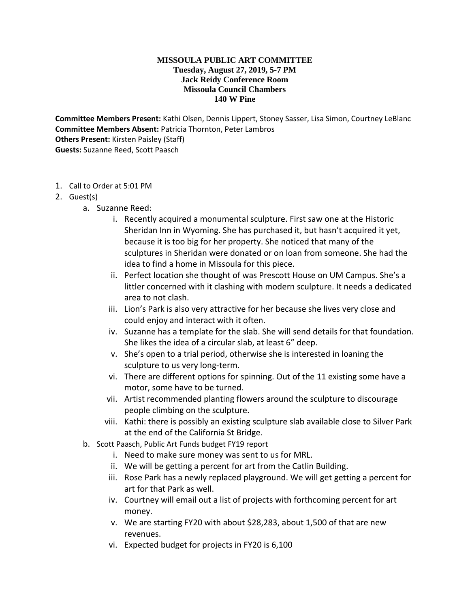## **MISSOULA PUBLIC ART COMMITTEE Tuesday, August 27, 2019, 5-7 PM Jack Reidy Conference Room Missoula Council Chambers 140 W Pine**

**Committee Members Present:** Kathi Olsen, Dennis Lippert, Stoney Sasser, Lisa Simon, Courtney LeBlanc **Committee Members Absent:** Patricia Thornton, Peter Lambros **Others Present:** Kirsten Paisley (Staff) **Guests:** Suzanne Reed, Scott Paasch

- 1. Call to Order at 5:01 PM
- 2. Guest(s)
	- a. Suzanne Reed:
		- i. Recently acquired a monumental sculpture. First saw one at the Historic Sheridan Inn in Wyoming. She has purchased it, but hasn't acquired it yet, because it is too big for her property. She noticed that many of the sculptures in Sheridan were donated or on loan from someone. She had the idea to find a home in Missoula for this piece.
		- ii. Perfect location she thought of was Prescott House on UM Campus. She's a littler concerned with it clashing with modern sculpture. It needs a dedicated area to not clash.
		- iii. Lion's Park is also very attractive for her because she lives very close and could enjoy and interact with it often.
		- iv. Suzanne has a template for the slab. She will send details for that foundation. She likes the idea of a circular slab, at least 6" deep.
		- v. She's open to a trial period, otherwise she is interested in loaning the sculpture to us very long-term.
		- vi. There are different options for spinning. Out of the 11 existing some have a motor, some have to be turned.
		- vii. Artist recommended planting flowers around the sculpture to discourage people climbing on the sculpture.
		- viii. Kathi: there is possibly an existing sculpture slab available close to Silver Park at the end of the California St Bridge.
	- b. Scott Paasch, Public Art Funds budget FY19 report
		- i. Need to make sure money was sent to us for MRL.
		- ii. We will be getting a percent for art from the Catlin Building.
		- iii. Rose Park has a newly replaced playground. We will get getting a percent for art for that Park as well.
		- iv. Courtney will email out a list of projects with forthcoming percent for art money.
		- v. We are starting FY20 with about \$28,283, about 1,500 of that are new revenues.
		- vi. Expected budget for projects in FY20 is 6,100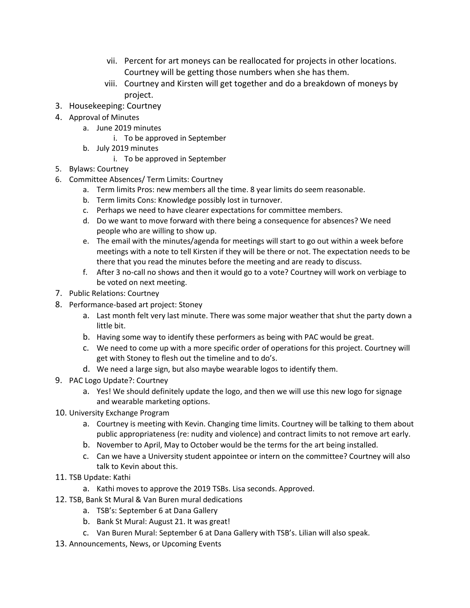- vii. Percent for art moneys can be reallocated for projects in other locations. Courtney will be getting those numbers when she has them.
- viii. Courtney and Kirsten will get together and do a breakdown of moneys by project.
- 3. Housekeeping: Courtney
- 4. Approval of Minutes
	- a. June 2019 minutes
		- i. To be approved in September
	- b. July 2019 minutes
		- i. To be approved in September
- 5. Bylaws: Courtney
- 6. Committee Absences/ Term Limits: Courtney
	- a. Term limits Pros: new members all the time. 8 year limits do seem reasonable.
	- b. Term limits Cons: Knowledge possibly lost in turnover.
	- c. Perhaps we need to have clearer expectations for committee members.
	- d. Do we want to move forward with there being a consequence for absences? We need people who are willing to show up.
	- e. The email with the minutes/agenda for meetings will start to go out within a week before meetings with a note to tell Kirsten if they will be there or not. The expectation needs to be there that you read the minutes before the meeting and are ready to discuss.
	- f. After 3 no-call no shows and then it would go to a vote? Courtney will work on verbiage to be voted on next meeting.
- 7. Public Relations: Courtney
- 8. Performance-based art project: Stoney
	- a. Last month felt very last minute. There was some major weather that shut the party down a little bit.
	- b. Having some way to identify these performers as being with PAC would be great.
	- c. We need to come up with a more specific order of operations for this project. Courtney will get with Stoney to flesh out the timeline and to do's.
	- d. We need a large sign, but also maybe wearable logos to identify them.
- 9. PAC Logo Update?: Courtney
	- a. Yes! We should definitely update the logo, and then we will use this new logo for signage and wearable marketing options.
- 10. University Exchange Program
	- a. Courtney is meeting with Kevin. Changing time limits. Courtney will be talking to them about public appropriateness (re: nudity and violence) and contract limits to not remove art early.
	- b. November to April, May to October would be the terms for the art being installed.
	- c. Can we have a University student appointee or intern on the committee? Courtney will also talk to Kevin about this.
- 11. TSB Update: Kathi
	- a. Kathi moves to approve the 2019 TSBs. Lisa seconds. Approved.
- 12. TSB, Bank St Mural & Van Buren mural dedications
	- a. TSB's: September 6 at Dana Gallery
	- b. Bank St Mural: August 21. It was great!
	- c. Van Buren Mural: September 6 at Dana Gallery with TSB's. Lilian will also speak.
- 13. Announcements, News, or Upcoming Events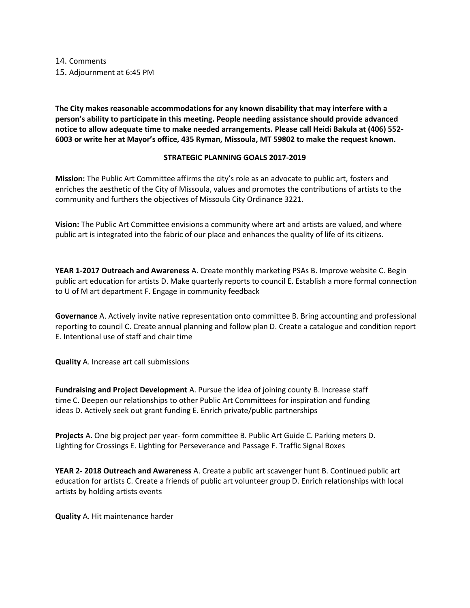14. Comments 15. Adjournment at 6:45 PM

**The City makes reasonable accommodations for any known disability that may interfere with a person's ability to participate in this meeting. People needing assistance should provide advanced notice to allow adequate time to make needed arrangements. Please call Heidi Bakula at (406) 552- 6003 or write her at Mayor's office, 435 Ryman, Missoula, MT 59802 to make the request known.** 

## **STRATEGIC PLANNING GOALS 2017-2019**

**Mission:** The Public Art Committee affirms the city's role as an advocate to public art, fosters and enriches the aesthetic of the City of Missoula, values and promotes the contributions of artists to the community and furthers the objectives of Missoula City Ordinance 3221.

**Vision:** The Public Art Committee envisions a community where art and artists are valued, and where public art is integrated into the fabric of our place and enhances the quality of life of its citizens.

**YEAR 1-2017 Outreach and Awareness** A. Create monthly marketing PSAs B. Improve website C. Begin public art education for artists D. Make quarterly reports to council E. Establish a more formal connection to U of M art department F. Engage in community feedback

**Governance** A. Actively invite native representation onto committee B. Bring accounting and professional reporting to council C. Create annual planning and follow plan D. Create a catalogue and condition report E. Intentional use of staff and chair time

**Quality** A. Increase art call submissions

**Fundraising and Project Development** A. Pursue the idea of joining county B. Increase staff time C. Deepen our relationships to other Public Art Committees for inspiration and funding ideas D. Actively seek out grant funding E. Enrich private/public partnerships

**Projects** A. One big project per year- form committee B. Public Art Guide C. Parking meters D. Lighting for Crossings E. Lighting for Perseverance and Passage F. Traffic Signal Boxes

**YEAR 2- 2018 Outreach and Awareness** A. Create a public art scavenger hunt B. Continued public art education for artists C. Create a friends of public art volunteer group D. Enrich relationships with local artists by holding artists events

**Quality** A. Hit maintenance harder